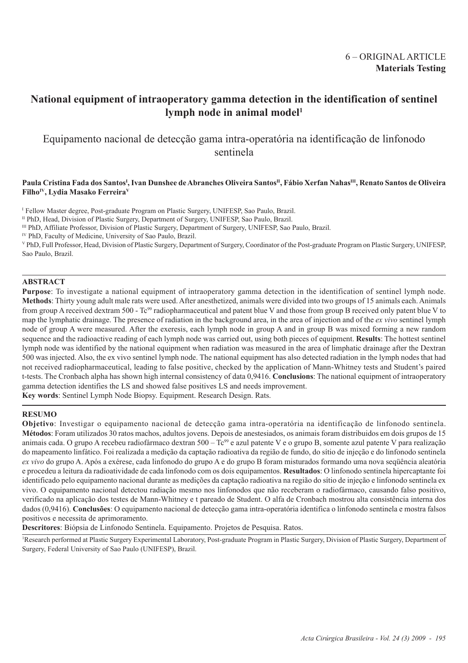# 6 – ORIGINAL ARTICLE **Materials Testing**

# **National equipment of intraoperatory gamma detection in the identification of sentinel** lymph node in animal model<sup>1</sup>

Equipamento nacional de detecção gama intra-operatória na identificação de linfonodo sentinela

## Paula Cristina Fada dos Santos<sup>ı</sup>, Ivan Dunshee de Abranches Oliveira Santos<sup>n</sup>, Fábio Xerfan Nahas<sup>ın</sup>, Renato Santos de Oliveira **FilhoIV, Lydia Masako FerreiraV**

I Fellow Master degree, Post-graduate Program on Plastic Surgery, UNIFESP, Sao Paulo, Brazil.

<sup>II</sup> PhD, Head, Division of Plastic Surgery, Department of Surgery, UNIFESP, Sao Paulo, Brazil.

III PhD, Affiliate Professor, Division of Plastic Surgery, Department of Surgery, UNIFESP, Sao Paulo, Brazil.

IV PhD, Faculty of Medicine, University of Sao Paulo, Brazil.

V PhD, Full Professor, Head, Division of Plastic Surgery, Department of Surgery, Coordinator of the Post-graduate Program on Plastic Surgery, UNIFESP, Sao Paulo, Brazil.

## **ABSTRACT**

**Purpose**: To investigate a national equipment of intraoperatory gamma detection in the identification of sentinel lymph node. **Methods**: Thirty young adult male rats were used. After anesthetized, animals were divided into two groups of 15 animals each. Animals from group A received dextram 500 - Tc99 radiopharmaceutical and patent blue V and those from group B received only patent blue V to map the lymphatic drainage. The presence of radiation in the background area, in the area of injection and of the *ex vivo* sentinel lymph node of group A were measured. After the exeresis, each lymph node in group A and in group B was mixed forming a new random sequence and the radioactive reading of each lymph node was carried out, using both pieces of equipment. **Results**: The hottest sentinel lymph node was identified by the national equipment when radiation was measured in the area of limphatic drainage after the Dextran 500 was injected. Also, the ex vivo sentinel lymph node. The national equipment has also detected radiation in the lymph nodes that had not received radiopharmaceutical, leading to false positive, checked by the application of Mann-Whitney tests and Student's paired t-tests. The Cronbach alpha has shown high internal consistency of data 0,9416. **Conclusions**: The national equipment of intraoperatory gamma detection identifies the LS and showed false positives LS and needs improvement.

**Key words**: Sentinel Lymph Node Biopsy. Equipment. Research Design. Rats.

## **RESUMO**

**Objetivo**: Investigar o equipamento nacional de detecção gama intra-operatória na identificação de linfonodo sentinela. **Métodos**: Foram utilizados 30 ratos machos, adultos jovens. Depois de anestesiados, os animais foram distribuidos em dois grupos de 15 animais cada. O grupo A recebeu radiofármaco dextran 500 – Tc<sup>99</sup> e azul patente V e o grupo B, somente azul patente V para realização do mapeamento linfático. Foi realizada a medição da captação radioativa da região de fundo, do sítio de injeção e do linfonodo sentinela *ex vivo* do grupo A. Após a exérese, cada linfonodo do grupo A e do grupo B foram misturados formando uma nova seqüência aleatória e procedeu a leitura da radioatividade de cada linfonodo com os dois equipamentos. **Resultados**: O linfonodo sentinela hipercaptante foi identificado pelo equipamento nacional durante as medições da captação radioativa na região do sítio de injeção e linfonodo sentinela ex vivo. O equipamento nacional detectou radiação mesmo nos linfonodos que não receberam o radiofármaco, causando falso positivo, verificado na aplicação dos testes de Mann-Whitney e t pareado de Student. O alfa de Cronbach mostrou alta consistência interna dos dados (0,9416). **Conclusões**: O equipamento nacional de detecção gama intra-operatória identifica o linfonodo sentinela e mostra falsos positivos e necessita de aprimoramento.

**Descritores**: Biópsia de Linfonodo Sentinela. Equipamento. Projetos de Pesquisa. Ratos.

1 Research performed at Plastic Surgery Experimental Laboratory, Post-graduate Program in Plastic Surgery, Division of Plastic Surgery, Department of Surgery, Federal University of Sao Paulo (UNIFESP), Brazil.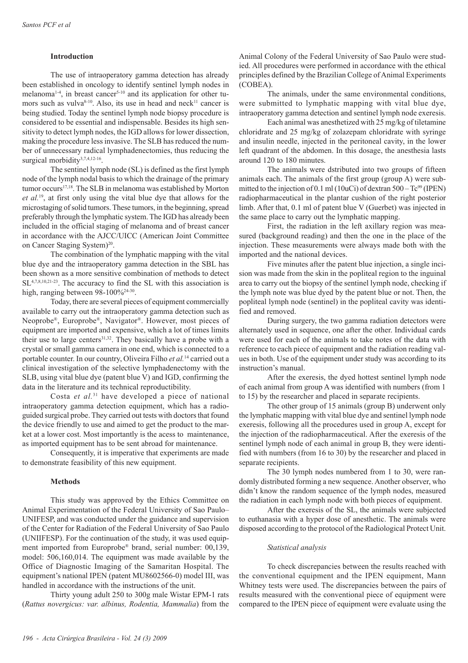## **Introduction**

The use of intraoperatory gamma detection has already been established in oncology to identify sentinel lymph nodes in melanoma<sup>1-4</sup>, in breast cancer<sup>5-10</sup> and its application for other tumors such as vulva<sup>8-10</sup>. Also, its use in head and neck<sup>11</sup> cancer is being studied. Today the sentinel lymph node biopsy procedure is considered to be essential and indispensable. Besides its high sensitivity to detect lymph nodes, the IGD allows for lower dissection, making the procedure less invasive. The SLB has reduced the number of unnecessary radical lymphadenectomies, thus reducing the surgical morbidity<sup>3,7,4,12-16</sup>.

The sentinel lymph node (SL) is defined as the first lymph node of the lymph nodal basis to which the drainage of the primary tumor occurs<sup>17,18</sup>. The SLB in melanoma was established by Morton *et al.*19, at first only using the vital blue dye that allows for the microstaging of solid tumors. These tumors, in the beginning, spread preferably through the lymphatic system. The IGD has already been included in the official staging of melanoma and of breast cancer in accordance with the AJCC/UICC (American Joint Committee on Cancer Staging System)<sup>20</sup>.

The combination of the lymphatic mapping with the vital blue dye and the intraoperatory gamma detection in the SBL has been shown as a more sensitive combination of methods to detect SL4,7,8,10,21-23. The accuracy to find the SL with this association is high, ranging between 98-100%<sup>24-30</sup>.

Today, there are several pieces of equipment commercially available to carry out the intraoperatory gamma detection such as Neoprobe®, Europrobe®, Navigator®. However, most pieces of equipment are imported and expensive, which a lot of times limits their use to large centers<sup>31,32</sup>. They basically have a probe with a crystal or small gamma camera in one end, which is connected to a portable counter. In our country, Oliveira Filho *et al.*14 carried out a clinical investigation of the selective lymphadenectomy with the SLB, using vital blue dye (patent blue V) and IGD, confirming the data in the literature and its technical reproductibility.

Costa *et al.*31 have developed a piece of national intraoperatory gamma detection equipment, which has a radioguided surgical probe. They carried out tests with doctors that found the device friendly to use and aimed to get the product to the market at a lower cost. Most importantly is the acess to maintenance, as imported equipment has to be sent abroad for maintenance.

Consequently, it is imperative that experiments are made to demonstrate feasibility of this new equipment.

#### **Methods**

This study was approved by the Ethics Committee on Animal Experimentation of the Federal University of Sao Paulo– UNIFESP, and was conducted under the guidance and supervision of the Center for Radiation of the Federal University of Sao Paulo (UNIIFESP). For the continuation of the study, it was used equipment imported from Europrobe® brand, serial number: 00,139, model: 506,160,014. The equipment was made available by the Office of Diagnostic Imaging of the Samaritan Hospital. The equipment's national IPEN (patent MU8602566-0) model III, was handled in accordance with the instructions of the unit.

Thirty young adult 250 to 300g male Wistar EPM-1 rats (*Rattus novergicus: var. albinus, Rodentia, Mammalia*) from the

Animal Colony of the Federal University of Sao Paulo were studied. All procedures were performed in accordance with the ethical principles defined by the Brazilian College of Animal Experiments (COBEA).

The animals, under the same environmental conditions, were submitted to lymphatic mapping with vital blue dye, intraoperatory gamma detection and sentinel lymph node exeresis.

Each animal was anesthetized with 25 mg/kg of tiletamine chloridrate and 25 mg/kg of zolazepam chloridrate with syringe and insulin needle, injected in the peritoneal cavity, in the lower left quadrant of the abdomen. In this dosage, the anesthesia lasts around 120 to 180 minutes.

The animals were dstributed into two groups of fifteen animals each. The animals of the first group (group A) were submitted to the injection of 0.1 ml (10uCi) of dextran  $500 - Te^{99}$  (IPEN) radiopharmaceutical in the plantar cushion of the right posterior limb. After that, 0.1 ml of patent blue V (Guerbet) was injected in the same place to carry out the lymphatic mapping.

First, the radiation in the left axillary region was measured (background reading) and then the one in the place of the injection. These measurements were always made both with the imported and the national devices.

Five minutes after the patent blue injection, a single incision was made from the skin in the popliteal region to the inguinal area to carry out the biopsy of the sentinel lymph node, checking if the lymph note was blue dyed by the patent blue or not. Then, the popliteal lymph node (sentinel) in the popliteal cavity was identified and removed.

During surgery, the two gamma radiation detectors were alternately used in sequence, one after the other. Individual cards were used for each of the animals to take notes of the data with reference to each piece of equipment and the radiation reading values in both. Use of the equipment under study was according to its instruction's manual.

After the exeresis, the dyed hottest sentinel lymph node of each animal from group A was identified with numbers (from 1 to 15) by the researcher and placed in separate recipients.

The other group of 15 animals (group B) underwent only the lymphatic mapping with vital blue dye and sentinel lymph node exeresis, following all the procedures used in group A, except for the injection of the radiopharmaceutical. After the exeresis of the sentinel lymph node of each animal in group B, they were identified with numbers (from 16 to 30) by the researcher and placed in separate recipients.

The 30 lymph nodes numbered from 1 to 30, were randomly distributed forming a new sequence. Another observer, who didn't know the random sequence of the lymph nodes, measured the radiation in each lymph node with both pieces of equipment.

After the exeresis of the SL, the animals were subjected to euthanasia with a hyper dose of anesthetic. The animals were disposed according to the protocol of the Radiological Protect Unit.

#### *Statistical analysis*

To check discrepancies between the results reached with the conventional equipment and the IPEN equipment, Mann Whitney tests were used. The discrepancies between the pairs of results measured with the conventional piece of equipment were compared to the IPEN piece of equipment were evaluate using the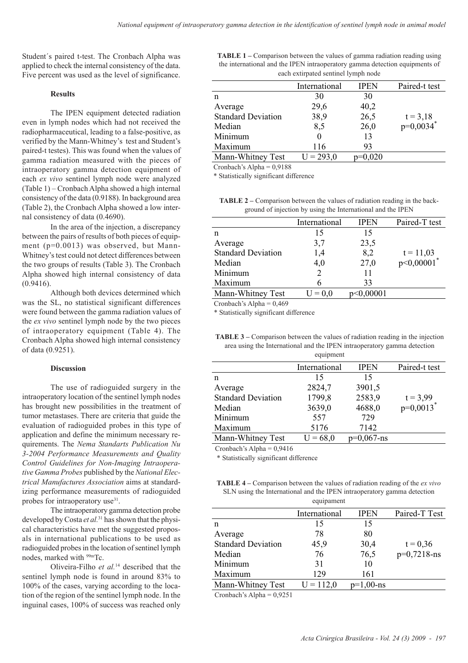Student´s paired t-test. The Cronbach Alpha was applied to check the internal consistency of the data. Five percent was used as the level of significance.

#### **Results**

The IPEN equipment detected radiation even in lymph nodes which had not received the radiopharmaceutical, leading to a false-positive, as verified by the Mann-Whitney's test and Student's paired-t testes). This was found when the values of gamma radiation measured with the pieces of intraoperatory gamma detection equipment of each *ex vivo* sentinel lymph node were analyzed (Table 1) – Cronbach Alpha showed a high internal consistency of the data (0.9188). In background area (Table 2), the Cronbach Alpha showed a low internal consistency of data (0.4690).

In the area of the injection, a discrepancy between the pairs of results of both pieces of equipment (p=0.0013) was observed, but Mann-Whitney's test could not detect differences between the two groups of results (Table 3). The Cronbach Alpha showed high internal consistency of data (0.9416).

Although both devices determined which was the SL, no statistical significant differences were found between the gamma radiation values of the *ex vivo* sentinel lymph node by the two pieces of intraoperatory equipment (Table 4). The Cronbach Alpha showed high internal consistency of data (0.9251).

#### **Discussion**

The use of radioguided surgery in the intraoperatory location of the sentinel lymph nodes has brought new possibilities in the treatment of tumor metastases. There are criteria that guide the evaluation of radioguided probes in this type of application and define the minimum necessary requirements. The *Nema Standarts Publication Nu 3-2004 Performance Measurements and Quality Control Guidelines for Non-Imaging Intraoperative Gamma Probes* published by the *National Electrical Manufactures Association* aims at standardizing performance measurements of radioguided probes for intraoperatory use<sup>31</sup>.

The intraoperatory gamma detection probe developed by Costa *et al.*<sup>31</sup> has shown that the physical characteristics have met the suggested proposals in international publications to be used as radioguided probes in the location of sentinel lymph nodes, marked with 99mTc.

Oliveira-Filho *et al.*14 described that the sentinel lymph node is found in around 83% to 100% of the cases, varying according to the location of the region of the sentinel lymph node. In the inguinal cases, 100% of success was reached only **TABLE 1 –** Comparison between the values of gamma radiation reading using the international and the IPEN intraoperatory gamma detection equipments of each extirpated sentinel lymph node

| International | <b>IPEN</b> | Paired-t test          |
|---------------|-------------|------------------------|
| 30            | 30          |                        |
| 29,6          | 40,2        |                        |
| 38,9          | 26,5        |                        |
| 8,5           | 26,0        | $t = 3,18$<br>p=0,0034 |
| 0             | 13          |                        |
| 116           | 93          |                        |
| $U = 293,0$   | $p=0,020$   |                        |
|               |             |                        |

Cronbach's Alpha = 0,9188

\* Statistically significant difference

**TABLE 2 –** Comparison between the values of radiation reading in the background of injection by using the International and the IPEN

|                           | International | <b>IPEN</b> | Paired-T test |
|---------------------------|---------------|-------------|---------------|
| n                         | 15            | 15          |               |
| Average                   | 3,7           | 23,5        |               |
| <b>Standard Deviation</b> | 1,4           | 8,2         | $t = 11,03$   |
| Median                    | 4,0           | 27,0        | $p<0,00001$ * |
| Minimum                   |               | 11          |               |
| Maximum                   | 6             | 33          |               |
| Mann-Whitney Test         | $I = 0.0$     | >0,00001    |               |
|                           |               |             |               |

Cronbach's Alpha = 0,469

\* Statistically significant difference

**TABLE 3** – Comparison between the values of radiation reading in the injection area using the International and the IPEN intraoperatory gamma detection

| equipment                 |               |               |                         |  |
|---------------------------|---------------|---------------|-------------------------|--|
|                           | International | <b>IPEN</b>   | Paired-t test           |  |
| n                         | 15            | 15            |                         |  |
| Average                   | 2824,7        | 3901,5        |                         |  |
| <b>Standard Deviation</b> | 1799,8        | 2583,9        | $t = 3,99$              |  |
| Median                    | 3639,0        | 4688,0        | $p=0,0013$ <sup>*</sup> |  |
| Minimum                   | 557           | 729           |                         |  |
| Maximum                   | 5176          | 7142          |                         |  |
| Mann-Whitney Test         | $U = 68,0$    | $p=0,067$ -ns |                         |  |

Cronbach's Alpha  $= 0.9416$ 

\* Statistically significant difference

**TABLE 4 –** Comparison between the values of radiation reading of the *ex vivo* SLN using the International and the IPEN intraoperatory gamma detection equipament

|                           | International | <b>IPEN</b>  | Paired-T Test |
|---------------------------|---------------|--------------|---------------|
| n                         | 15            | 15           |               |
| Average                   | 78            | 80           |               |
| <b>Standard Deviation</b> | 45,9          | 30,4         | $t = 0,36$    |
| Median                    | 76            | 76,5         | $p=0,7218-ns$ |
| Minimum                   | 31            | 10           |               |
| Maximum                   | 129           | 161          |               |
| Mann-Whitney Test         | $U = 112,0$   | $p=1,00$ -ns |               |

Cronbach's Alpha = 0,9251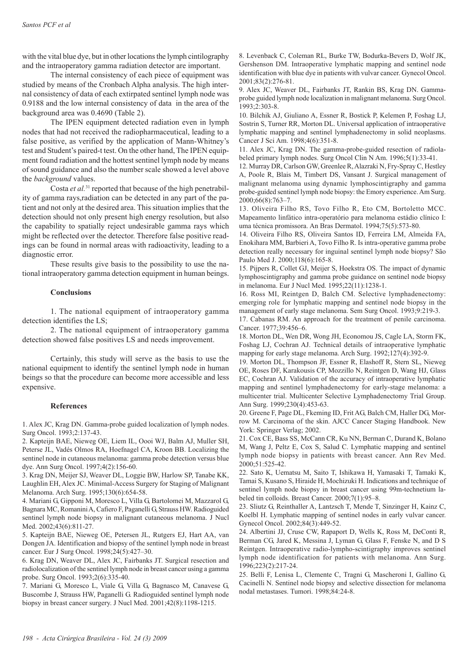with the vital blue dye, but in other locations the lymph cintilography and the intraoperatory gamma radiation detector are important.

The internal consistency of each piece of equipment was studied by means of the Cronbach Alpha analysis. The high internal consistency of data of each extirpated sentinel lymph node was 0.9188 and the low internal consistency of data in the area of the background area was 0.4690 (Table 2).

The IPEN equipment detected radiation even in lymph nodes that had not received the radiopharmaceutical, leading to a false positive, as verified by the application of Mann-Whitney's test and Student's paired-t test. On the other hand, The IPEN equipment found radiation and the hottest sentinel lymph node by means of sound guidance and also the number scale showed a level above the *background* values.

Costa *et al.*31 reported that because of the high penetrability of gamma rays,radiation can be detected in any part of the patient and not only at the desired area. This situation implies that the detection should not only present high energy resolution, but also the capability to spatially reject undesirable gamma rays which might be reflected over the detector. Therefore false positive readings can be found in normal areas with radioactivity, leading to a diagnostic error.

These results give basis to the possibility to use the national intraoperatory gamma detection equipment in human beings.

## **Conclusions**

1. The national equipment of intraoperatory gamma detection identifies the LS;

2. The national equipment of intraoperatory gamma detection showed false positives LS and needs improvement.

Certainly, this study will serve as the basis to use the national equipment to identify the sentinel lymph node in human beings so that the procedure can become more accessible and less expensive.

#### **References**

1. Alex JC, Krag DN. Gamma-probe guided localization of lymph nodes. Surg Oncol. 1993;2:137-43.

2. Kapteijn BAE, Nieweg OE, Liem IL, Oooi WJ, Balm AJ, Muller SH, Peterse JL, Vadés Olmos RA, Hoefnagel CA, Kroon BB. Localizing the sentinel node in cutaneous melanoma: gamma probe detection versus blue dye. Ann Surg Oncol. 1997;4(2):156-60.

3. Krag DN, Meijer SJ, Weaver DL, Loggie BW, Harlow SP, Tanabe KK, Laughlin EH, Alex JC. Minimal-Access Surgery for Staging of Malignant Melanoma. Arch Surg. 1995;130(6):654-58.

4. Mariani G, Gipponi M, Moresco L, Villa G, Bartolomei M, Mazzarol G, Bagnara MC, Romanini A, Cafiero F, Paganelli G, Strauss HW. Radioguided sentinel lymph node biopsy in malignant cutaneous melanoma. J Nucl Med. 2002;43(6):811-27.

5. Kapteijn BAE, Nieweg OE, Petersen JL, Rutgers EJ, Hart AA, van Dongen JA. Identification and biopsy of the sentinel lymph node in breast cancer. Eur J Surg Oncol. 1998;24(5):427–30.

6. Krag DN, Weaver DL, Alex JC, Fairbanks JT. Surgical resection and radiolocalization of the sentinel lymph node in breast cancer using a gamma probe. Surg Oncol. 1993;2(6):335-40.

7. Mariani G, Moresco L, Viale G, Villa G, Bagnasco M, Canavese G, Buscombe J, Strauss HW, Paganelli G. Radioguided sentinel lymph node biopsy in breast cancer surgery. J Nucl Med. 2001;42(8):1198-1215.

8. Levenback C, Coleman RL, Burke TW, Bodurka-Bevers D, Wolf JK, Gershenson DM. Intraoperative lymphatic mapping and sentinel node identification with blue dye in patients with vulvar cancer. Gynecol Oncol. 2001;83(2):276-81.

9. Alex JC, Weaver DL, Fairbanks JT, Rankin BS, Krag DN. Gammaprobe guided lymph node localization in malignant melanoma. Surg Oncol. 1993;2:303-8.

10. Bilchik AJ, Giuliano A, Essner R, Bostick P, Kelemen P, Foshag LJ, Sostrin S, Turner RR, Morton DL. Universal application of intraoperative lymphatic mapping and sentinel lymphadenectomy in solid neoplasms. Cancer J Sci Am. 1998;4(6):351-8.

11. Alex JC, Krag DN. The gamma-probe-guided resection of radiolabeled primary lymph nodes. Surg Oncol Clin N Am. 1996;5(1):33-41.

12. Murray DR, Carlson GW, Greenlee R, Alazraki N, Fry-Spray C, Hestley A, Poole R, Blais M, Timbert DS, Vansant J. Surgical management of malignant melanoma using dynamic lymphoscintigraphy and gamma probe-guided sentinel lymph node biopsy: the Emory experience. Am Surg. 2000;66(8):763–7.

13. Oliveira Filho RS, Tovo Filho R, Eto CM, Bortoletto MCC. Mapeamento linfático intra-operatório para melanoma estádio clínico I: uma técnica promissora. An Bras Dermatol. 1994;75(5):573-80.

14. Oliveira Filho RS, Oliveira Santos ID, Ferreira LM, Almeida FA, Enokihara MM, Barbieri A, Tovo Filho R. Is intra-operative gamma probe detection really necessary for inguinal sentinel lymph node biopsy? São Paulo Med J. 2000;118(6):165-8.

15. Pijpers R, Collet GJ, Meijer S, Hoekstra OS. The impact of dynamic lymphoscintigraphy and gamma probe guidance on sentinel node biopsy in melanoma. Eur J Nucl Med. 1995;22(11):1238-1.

16. Ross MI, Reintgen D, Balch CM. Selective lymphadenectomy: emerging role for lymphatic mapping and sentinel node biopsy in the management of early stage melanoma. Sem Surg Oncol. 1993;9:219-3.

17. Cabanas RM. An approach for the treatment of penile carcinoma. Cancer. 1977;39:456–6.

18. Morton DL, Wen DR, Wong JH, Economou JS, Cagle LA, Storm FK, Foshag LJ, Cochran AJ. Technical details of intraoperative lymphatic mapping for early stage melanoma. Arch Surg. 1992;127(4):392-9.

19. Morton DL, Thompson JF, Essner R, Elashoff R, Stern SL, Nieweg OE, Roses DF, Karakousis CP, Mozzillo N, Reintgen D, Wang HJ, Glass EC, Cochran AJ. Validation of the accuracy of intraoperative lymphatic mapping and sentinel lymphadenectomy for early-stage melanoma: a multicenter trial. Multicenter Selective Lymphadenectomy Trial Group. Ann Surg. 1999;230(4):453-63.

20. Greene F, Page DL, Fkeming ID, Frit AG, Balch CM, Haller DG, Morrow M. Carcinoma of the skin. AJCC Cancer Staging Handbook. New York: Springer Verlag; 2002.

21. Cox CE, Bass SS, McCann CR, Ku NN, Berman C, Durand K, Bolano M, Wang J, Peltz E, Cox S, Salud C. Lymphatic mapping and sentinel lymph node biopsy in patients with breast cancer. Ann Rev Med. 2000;51:525-42.

22. Sato K, Uematsu M, Saito T, Ishikawa H, Yamasaki T, Tamaki K, Tamai S, Kusano S, Hiraide H, Mochizuki H. Indications and technique of sentinel lymph node biopsy in breast cancer using 99m-technetium labeled tin colloids. Breast Cancer. 2000;7(1):95–8.

23. Sliutz G, Reinthaller A, Lantzsch T, Mende T, Sinzinger H, Kainz C, Koelbl H. Lymphatic mapping of sentinel nodes in early vulvar cancer. Gynecol Oncol. 2002;84(3):449-52.

24. Albertini JJ, Cruse CW, Rapaport D, Wells K, Ross M, DeConti R, Berman CG, Jared K, Messina J, Lyman G, Glass F, Fenske N, and D S Reintgen. Intraoperative radio-lympho-scintigraphy improves sentinel lymph node identification for patients with melanoma. Ann Surg. 1996;223(2):217-24.

25. Belli F, Lenisa L, Clemente C, Tragni G, Mascheroni I, Gallino G, Cacinelli N. Sentinel node biopsy and selective dissection for melanoma nodal metastases. Tumori. 1998;84:24-8.